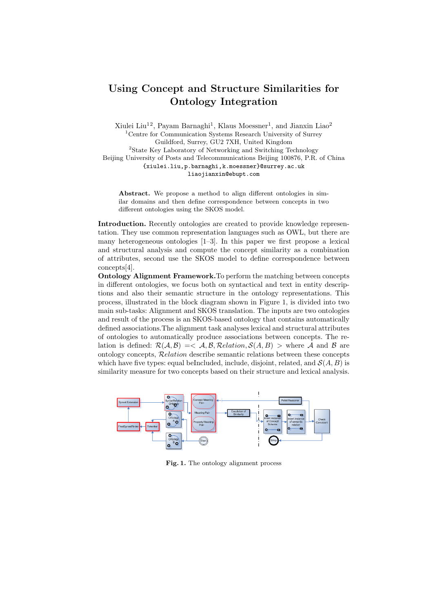## Using Concept and Structure Similarities for Ontology Integration

Xiulei Liu<sup>12</sup>, Payam Barnaghi<sup>1</sup>, Klaus Moessner<sup>1</sup>, and Jianxin Liao<sup>2</sup> <sup>1</sup>Centre for Communication Systems Research University of Surrey Guildford, Surrey, GU2 7XH, United Kingdom  $^{2}\rm{State}$  Key Laboratory of Networking and Switching Technology Beijing University of Posts and Telecommunications Beijing 100876, P.R. of China {xiulei.liu,p.barnaghi,k.moessner}@surrey.ac.uk liaojianxin@ebupt.com

Abstract. We propose a method to align different ontologies in similar domains and then define correspondence between concepts in two different ontologies using the SKOS model.

Introduction. Recently ontologies are created to provide knowledge representation. They use common representation languages such as OWL, but there are many heterogeneous ontologies [1–3]. In this paper we first propose a lexical and structural analysis and compute the concept similarity as a combination of attributes, second use the SKOS model to define correspondence between concepts[4].

Ontology Alignment Framework.To perform the matching between concepts in different ontologies, we focus both on syntactical and text in entity descriptions and also their semantic structure in the ontology representations. This process, illustrated in the block diagram shown in Figure 1, is divided into two main sub-tasks: Alignment and SKOS translation. The inputs are two ontologies and result of the process is an SKOS-based ontology that contains automatically defined associations.The alignment task analyses lexical and structural attributes of ontologies to automatically produce associations between concepts. The relation is defined:  $\mathcal{R}(\mathcal{A}, \mathcal{B}) \leq \mathcal{A}, \mathcal{B}, \mathcal{R}$ *elation,*  $\mathcal{S}(A, B) >$  where A and B are ontology concepts, Relation describe semantic relations between these concepts which have five types: equal beIncluded, include, disjoint, related, and  $\mathcal{S}(A, B)$  is similarity measure for two concepts based on their structure and lexical analysis.



Fig. 1. The ontology alignment process